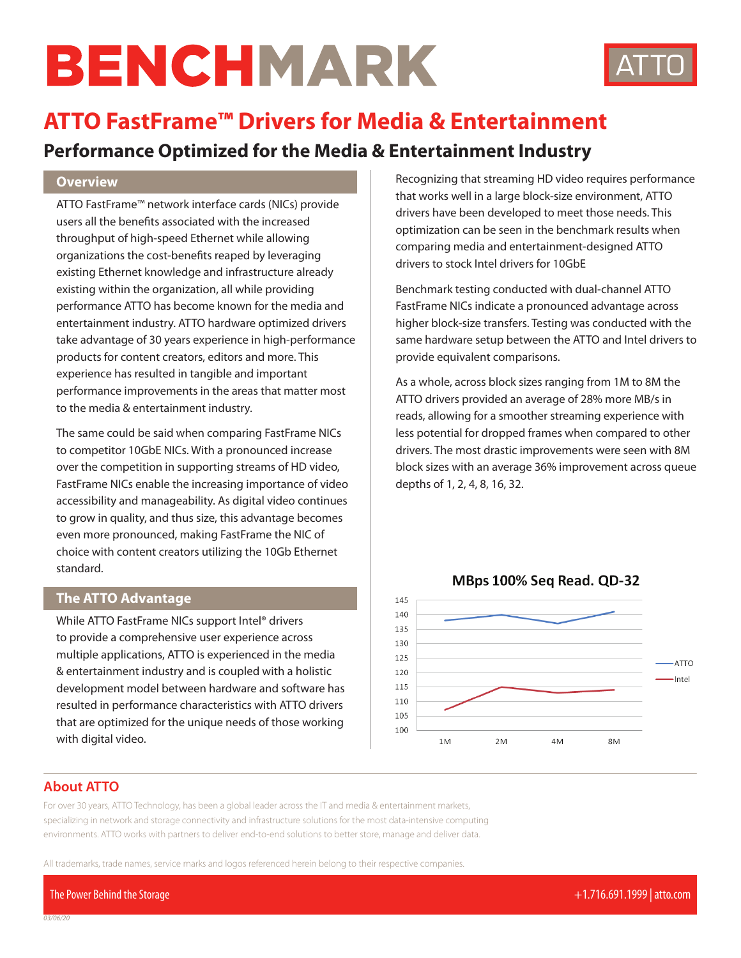# BENCHMARK



# **ATTO FastFrame™ Drivers for Media & Entertainment**

# **Performance Optimized for the Media & Entertainment Industry**

#### **Overview**

ATTO FastFrame™ network interface cards (NICs) provide users all the benefits associated with the increased throughput of high-speed Ethernet while allowing organizations the cost-benefits reaped by leveraging existing Ethernet knowledge and infrastructure already existing within the organization, all while providing performance ATTO has become known for the media and entertainment industry. ATTO hardware optimized drivers take advantage of 30 years experience in high-performance products for content creators, editors and more. This experience has resulted in tangible and important performance improvements in the areas that matter most to the media & entertainment industry.

The same could be said when comparing FastFrame NICs to competitor 10GbE NICs. With a pronounced increase over the competition in supporting streams of HD video, FastFrame NICs enable the increasing importance of video accessibility and manageability. As digital video continues to grow in quality, and thus size, this advantage becomes even more pronounced, making FastFrame the NIC of choice with content creators utilizing the 10Gb Ethernet standard.

#### **The ATTO Advantage**

While ATTO FastFrame NICs support Intel® drivers to provide a comprehensive user experience across multiple applications, ATTO is experienced in the media & entertainment industry and is coupled with a holistic development model between hardware and software has resulted in performance characteristics with ATTO drivers that are optimized for the unique needs of those working with digital video.

Recognizing that streaming HD video requires performance that works well in a large block-size environment, ATTO drivers have been developed to meet those needs. This optimization can be seen in the benchmark results when comparing media and entertainment-designed ATTO drivers to stock Intel drivers for 10GbE

Benchmark testing conducted with dual-channel ATTO FastFrame NICs indicate a pronounced advantage across higher block-size transfers. Testing was conducted with the same hardware setup between the ATTO and Intel drivers to provide equivalent comparisons.

As a whole, across block sizes ranging from 1M to 8M the ATTO drivers provided an average of 28% more MB/s in reads, allowing for a smoother streaming experience with less potential for dropped frames when compared to other drivers. The most drastic improvements were seen with 8M block sizes with an average 36% improvement across queue depths of 1, 2, 4, 8, 16, 32.



### MBps 100% Seg Read. QD-32

#### **About ATTO**

*03/06/20*

For over 30 years, ATTO Technology, has been a global leader across the IT and media & entertainment markets, specializing in network and storage connectivity and infrastructure solutions for the most data-intensive computing environments. ATTO works with partners to deliver end-to-end solutions to better store, manage and deliver data.

All trademarks, trade names, service marks and logos referenced herein belong to their respective companies.